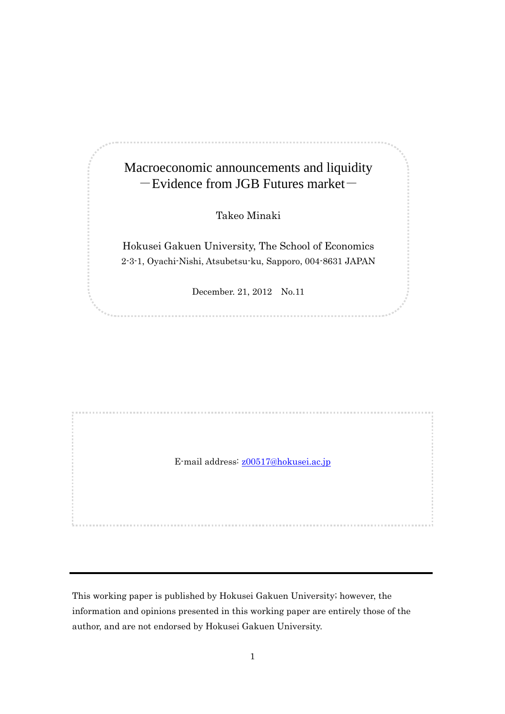# Macroeconomic announcements and liquidity  $-$ Evidence from JGB Futures market $-$

Takeo Minaki

Hokusei Gakuen University, The School of Economics 2-3-1, Oyachi-Nishi, Atsubetsu-ku, Sapporo, 004-8631 JAPAN

December. 21, 2012 No.11

E-mail address: [z00517@hokusei.ac.jp](mailto:z00517@hokusei.ac.jp)

This working paper is published by Hokusei Gakuen University; however, the information and opinions presented in this working paper are entirely those of the author, and are not endorsed by Hokusei Gakuen University.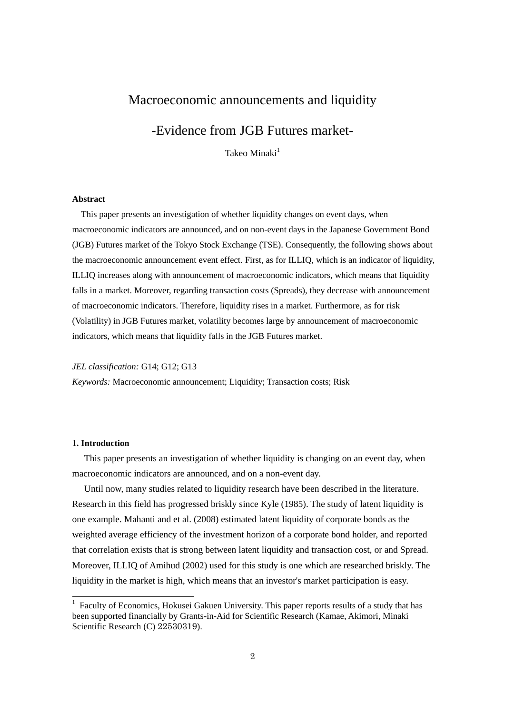# Macroeconomic announcements and liquidity

# -Evidence from JGB Futures market-

Takeo Minaki $<sup>1</sup>$ </sup>

### **Abstract**

This paper presents an investigation of whether liquidity changes on event days, when macroeconomic indicators are announced, and on non-event days in the Japanese Government Bond (JGB) Futures market of the Tokyo Stock Exchange (TSE). Consequently, the following shows about the macroeconomic announcement event effect. First, as for ILLIQ, which is an indicator of liquidity, ILLIQ increases along with announcement of macroeconomic indicators, which means that liquidity falls in a market. Moreover, regarding transaction costs (Spreads), they decrease with announcement of macroeconomic indicators. Therefore, liquidity rises in a market. Furthermore, as for risk (Volatility) in JGB Futures market, volatility becomes large by announcement of macroeconomic indicators, which means that liquidity falls in the JGB Futures market.

#### *JEL classification:* G14; G12; G13

*Keywords:* Macroeconomic announcement; Liquidity; Transaction costs; Risk

#### **1. Introduction**

-

This paper presents an investigation of whether liquidity is changing on an event day, when macroeconomic indicators are announced, and on a non-event day.

Until now, many studies related to liquidity research have been described in the literature. Research in this field has progressed briskly since Kyle (1985). The study of latent liquidity is one example. Mahanti and et al. (2008) estimated latent liquidity of corporate bonds as the weighted average efficiency of the investment horizon of a corporate bond holder, and reported that correlation exists that is strong between latent liquidity and transaction cost, or and Spread. Moreover, ILLIQ of Amihud (2002) used for this study is one which are researched briskly. The liquidity in the market is high, which means that an investor's market participation is easy.

<sup>&</sup>lt;sup>1</sup> Faculty of Economics, Hokusei Gakuen University. This paper reports results of a study that has been supported financially by Grants-in-Aid for Scientific Research (Kamae, Akimori, Minaki Scientific Research (C) 22530319).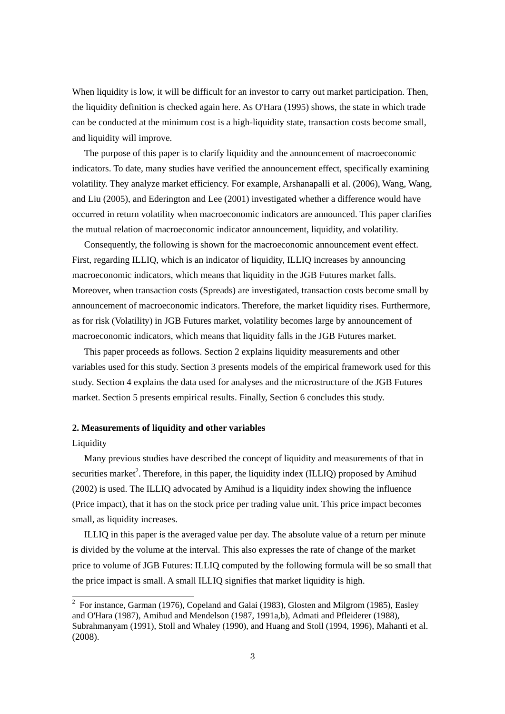When liquidity is low, it will be difficult for an investor to carry out market participation. Then, the liquidity definition is checked again here. As O'Hara (1995) shows, the state in which trade can be conducted at the minimum cost is a high-liquidity state, transaction costs become small, and liquidity will improve.

The purpose of this paper is to clarify liquidity and the announcement of macroeconomic indicators. To date, many studies have verified the announcement effect, specifically examining volatility. They analyze market efficiency. For example, Arshanapalli et al. (2006), Wang, Wang, and Liu (2005), and Ederington and Lee (2001) investigated whether a difference would have occurred in return volatility when macroeconomic indicators are announced. This paper clarifies the mutual relation of macroeconomic indicator announcement, liquidity, and volatility.

Consequently, the following is shown for the macroeconomic announcement event effect. First, regarding ILLIQ, which is an indicator of liquidity, ILLIQ increases by announcing macroeconomic indicators, which means that liquidity in the JGB Futures market falls. Moreover, when transaction costs (Spreads) are investigated, transaction costs become small by announcement of macroeconomic indicators. Therefore, the market liquidity rises. Furthermore, as for risk (Volatility) in JGB Futures market, volatility becomes large by announcement of macroeconomic indicators, which means that liquidity falls in the JGB Futures market.

This paper proceeds as follows. Section 2 explains liquidity measurements and other variables used for this study. Section 3 presents models of the empirical framework used for this study. Section 4 explains the data used for analyses and the microstructure of the JGB Futures market. Section 5 presents empirical results. Finally, Section 6 concludes this study.

#### **2. Measurements of liquidity and other variables**

#### Liquidity

 $\overline{\phantom{a}}$ 

Many previous studies have described the concept of liquidity and measurements of that in securities market<sup>2</sup>. Therefore, in this paper, the liquidity index (ILLIQ) proposed by Amihud (2002) is used. The ILLIQ advocated by Amihud is a liquidity index showing the influence (Price impact), that it has on the stock price per trading value unit. This price impact becomes small, as liquidity increases.

ILLIQ in this paper is the averaged value per day. The absolute value of a return per minute is divided by the volume at the interval. This also expresses the rate of change of the market price to volume of JGB Futures: ILLIQ computed by the following formula will be so small that the price impact is small. A small ILLIQ signifies that market liquidity is high.

<sup>&</sup>lt;sup>2</sup> For instance, Garman (1976), Copeland and Galai (1983), Glosten and Milgrom (1985), Easley and O'Hara (1987), Amihud and Mendelson (1987, 1991a,b), Admati and Pfleiderer (1988), Subrahmanyam (1991), Stoll and Whaley (1990), and Huang and Stoll (1994, 1996), Mahanti et al. (2008).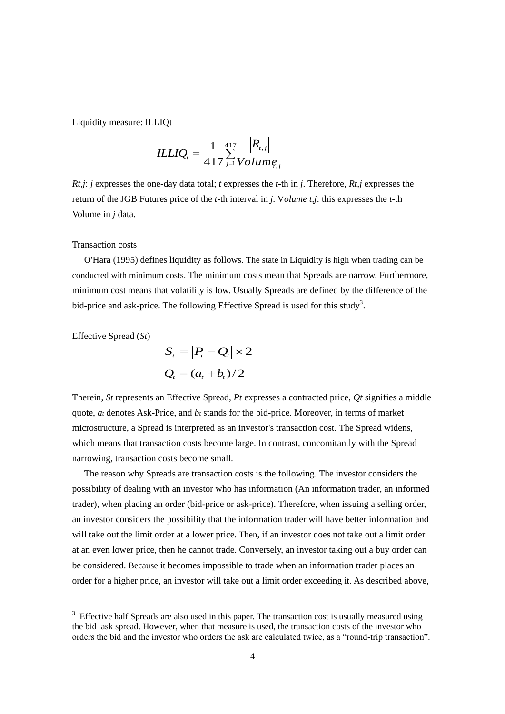Liquidity measure: ILLIQt

$$
ILLIQ_{t} = \frac{1}{417} \sum_{j=1}^{417} \frac{|R_{t,j}|}{Volume_{t,j}}
$$

*Rt,j*: *j* expresses the one-day data total; *t* expresses the *t*-th in *j*. Therefore, *Rt,j* expresses the return of the JGB Futures price of the *t*-th interval in *j*. V*olume t,j*: this expresses the *t*-th Volume in *j* data.

#### Transaction costs

O'Hara (1995) defines liquidity as follows. The state in Liquidity is high when trading can be conducted with minimum costs. The minimum costs mean that Spreads are narrow. Furthermore, minimum cost means that volatility is low. Usually Spreads are defined by the difference of the bid-price and ask-price. The following Effective Spread is used for this study<sup>3</sup>.

Effective Spread (*St*)

-

$$
S_t = |P_t - Q_t| \times 2
$$
  

$$
Q_t = (a_t + b_t)/2
$$

Therein, *St* represents an Effective Spread, *Pt* expresses a contracted price, *Qt* signifies a middle quote, *at* denotes Ask-Price, and *bt* stands for the bid-price. Moreover, in terms of market microstructure, a Spread is interpreted as an investor's transaction cost. The Spread widens, which means that transaction costs become large. In contrast, concomitantly with the Spread narrowing, transaction costs become small.

The reason why Spreads are transaction costs is the following. The investor considers the possibility of dealing with an investor who has information (An information trader, an informed trader), when placing an order (bid-price or ask-price). Therefore, when issuing a selling order, an investor considers the possibility that the information trader will have better information and will take out the limit order at a lower price. Then, if an investor does not take out a limit order at an even lower price, then he cannot trade. Conversely, an investor taking out a buy order can be considered. Because it becomes impossible to trade when an information trader places an order for a higher price, an investor will take out a limit order exceeding it. As described above,

 $3$  Effective half Spreads are also used in this paper. The transaction cost is usually measured using the bid–ask spread. However, when that measure is used, the transaction costs of the investor who orders the bid and the investor who orders the ask are calculated twice, as a "round-trip transaction".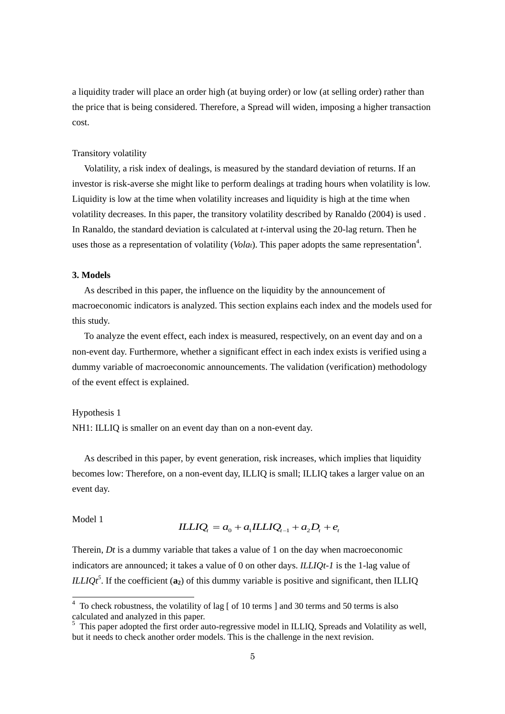a liquidity trader will place an order high (at buying order) or low (at selling order) rather than the price that is being considered. Therefore, a Spread will widen, imposing a higher transaction cost.

# Transitory volatility

Volatility, a risk index of dealings, is measured by the standard deviation of returns. If an investor is risk-averse she might like to perform dealings at trading hours when volatility is low. Liquidity is low at the time when volatility increases and liquidity is high at the time when volatility decreases. In this paper, the transitory volatility described by Ranaldo (2004) is used . In Ranaldo, the standard deviation is calculated at *t*-interval using the 20-lag return. Then he uses those as a representation of volatility ( $Volat$ ). This paper adopts the same representation<sup>4</sup>.

# **3. Models**

As described in this paper, the influence on the liquidity by the announcement of macroeconomic indicators is analyzed. This section explains each index and the models used for this study.

To analyze the event effect, each index is measured, respectively, on an event day and on a non-event day. Furthermore, whether a significant effect in each index exists is verified using a dummy variable of macroeconomic announcements. The validation (verification) methodology of the event effect is explained.

#### Hypothesis 1

NH1: ILLIQ is smaller on an event day than on a non-event day.

As described in this paper, by event generation, risk increases, which implies that liquidity becomes low: Therefore, on a non-event day, ILLIQ is small; ILLIQ takes a larger value on an event day.

# Model 1

$$
ILLIQ_{i} = a_{0} + a_{1}ILLIQ_{i-1} + a_{2}D_{i} + e_{i}
$$

Therein, *Dt* is a dummy variable that takes a value of 1 on the day when macroeconomic indicators are announced; it takes a value of 0 on other days. *ILLIQt-1* is the 1-lag value of *ILLIQt<sup>5</sup>*. If the coefficient ( $\mathbf{a}_2$ ) of this dummy variable is positive and significant, then ILLIQ

<sup>&</sup>lt;sup>4</sup> To check robustness, the volatility of lag [ of 10 terms ] and 30 terms and 50 terms is also calculated and analyzed in this paper.

<sup>&</sup>lt;sup>5</sup> This paper adopted the first order auto-regressive model in ILLIQ, Spreads and Volatility as well, but it needs to check another order models. This is the challenge in the next revision.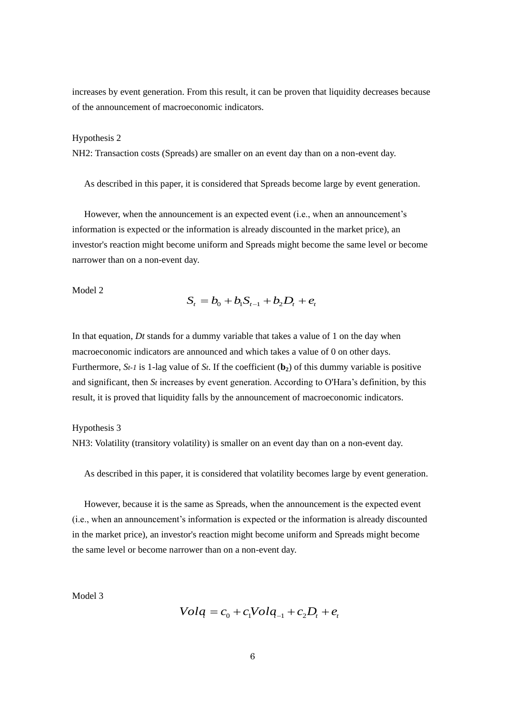increases by event generation. From this result, it can be proven that liquidity decreases because of the announcement of macroeconomic indicators.

#### Hypothesis 2

NH2: Transaction costs (Spreads) are smaller on an event day than on a non-event day.

As described in this paper, it is considered that Spreads become large by event generation.

However, when the announcement is an expected event (i.e., when an announcement's information is expected or the information is already discounted in the market price), an investor's reaction might become uniform and Spreads might become the same level or become narrower than on a non-event day.

#### Model 2

$$
S_t = b_0 + b_1 S_{t-1} + b_2 D_t + e_t
$$

In that equation, *Dt* stands for a dummy variable that takes a value of 1 on the day when macroeconomic indicators are announced and which takes a value of 0 on other days. Furthermore, *St-1* is 1-lag value of *St*. If the coefficient (**b2**) of this dummy variable is positive and significant, then *St* increases by event generation. According to O'Hara's definition, by this result, it is proved that liquidity falls by the announcement of macroeconomic indicators.

#### Hypothesis 3

NH3: Volatility (transitory volatility) is smaller on an event day than on a non-event day.

As described in this paper, it is considered that volatility becomes large by event generation.

However, because it is the same as Spreads, when the announcement is the expected event (i.e., when an announcement's information is expected or the information is already discounted in the market price), an investor's reaction might become uniform and Spreads might become the same level or become narrower than on a non-event day.

Model 3

$$
Volq = c_0 + c_1 Volq_{-1} + c_2 D_t + e_t
$$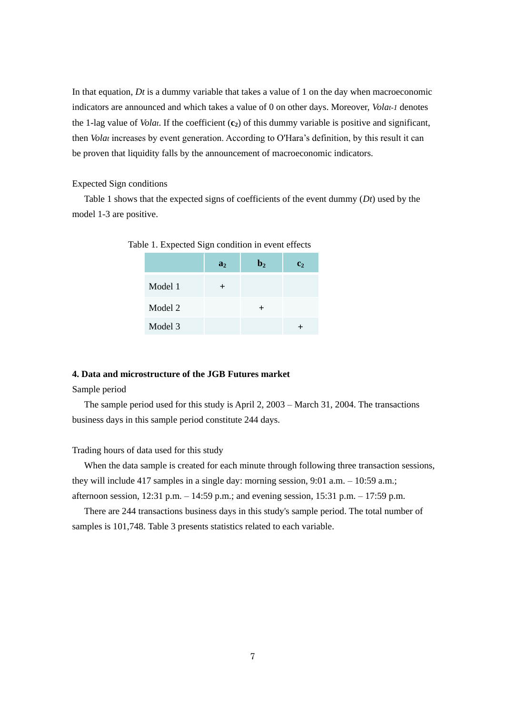In that equation, *Dt* is a dummy variable that takes a value of 1 on the day when macroeconomic indicators are announced and which takes a value of 0 on other days. Moreover, *Volat-1* denotes the 1-lag value of *Volat*. If the coefficient (**c2**) of this dummy variable is positive and significant, then *Volat* increases by event generation. According to O'Hara's definition, by this result it can be proven that liquidity falls by the announcement of macroeconomic indicators.

#### Expected Sign conditions

Table 1 shows that the expected signs of coefficients of the event dummy (*Dt*) used by the model 1-3 are positive.

|         | a <sub>2</sub> | $\mathbf{b}_2$ | c <sub>2</sub> |
|---------|----------------|----------------|----------------|
| Model 1 |                |                |                |
| Model 2 |                |                |                |
| Model 3 |                |                |                |

Table 1. Expected Sign condition in event effects

#### **4. Data and microstructure of the JGB Futures market**

#### Sample period

The sample period used for this study is April 2, 2003 – March 31, 2004. The transactions business days in this sample period constitute 244 days.

# Trading hours of data used for this study

When the data sample is created for each minute through following three transaction sessions, they will include 417 samples in a single day: morning session, 9:01 a.m. – 10:59 a.m.; afternoon session, 12:31 p.m. – 14:59 p.m.; and evening session, 15:31 p.m. – 17:59 p.m.

There are 244 transactions business days in this study's sample period. The total number of samples is 101,748. Table 3 presents statistics related to each variable.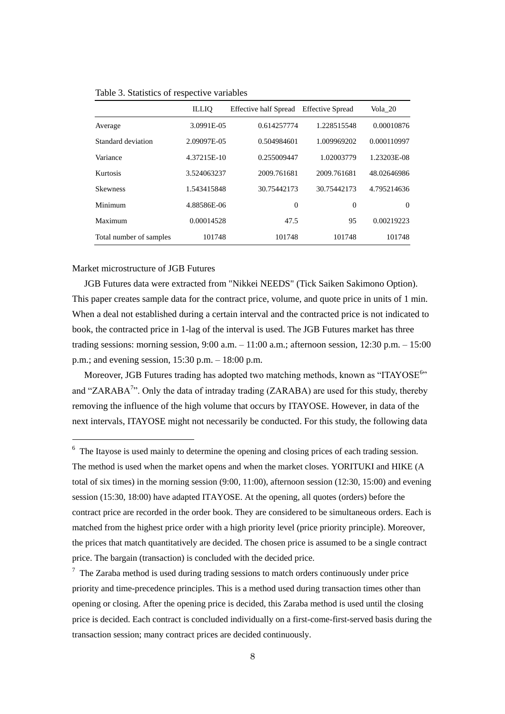|                         | <b>ILLIO</b> | <b>Effective half Spread</b> | <b>Effective Spread</b> | Vola 20     |
|-------------------------|--------------|------------------------------|-------------------------|-------------|
| Average                 | 3.0991E-05   | 0.614257774                  | 1.228515548             | 0.00010876  |
| Standard deviation      | 2.09097E-05  | 0.504984601                  | 1.009969202             | 0.000110997 |
| Variance                | 4.37215E-10  | 0.255009447                  | 1.02003779              | 1.23203E-08 |
| Kurtosis                | 3.524063237  | 2009.761681                  | 2009.761681             | 48.02646986 |
| <b>Skewness</b>         | 1.543415848  | 30.75442173                  | 30.75442173             | 4.795214636 |
| Minimum                 | 4.88586E-06  | $\overline{0}$               | $\Omega$                | $\Omega$    |
| Maximum                 | 0.00014528   | 47.5                         | 95                      | 0.00219223  |
| Total number of samples | 101748       | 101748                       | 101748                  | 101748      |

Table 3. Statistics of respective variables

#### Market microstructure of JGB Futures

-

JGB Futures data were extracted from "Nikkei NEEDS" (Tick Saiken Sakimono Option). This paper creates sample data for the contract price, volume, and quote price in units of 1 min. When a deal not established during a certain interval and the contracted price is not indicated to book, the contracted price in 1-lag of the interval is used. The JGB Futures market has three trading sessions: morning session,  $9:00$  a.m.  $-11:00$  a.m.; afternoon session,  $12:30$  p.m.  $-15:00$ p.m.; and evening session, 15:30 p.m. – 18:00 p.m.

Moreover, JGB Futures trading has adopted two matching methods, known as "ITAYOSE<sup>6</sup>" and "ZARABA<sup>7</sup>". Only the data of intraday trading (ZARABA) are used for this study, thereby removing the influence of the high volume that occurs by ITAYOSE. However, in data of the next intervals, ITAYOSE might not necessarily be conducted. For this study, the following data

<sup>6</sup> The Itayose is used mainly to determine the opening and closing prices of each trading session. The method is used when the market opens and when the market closes. YORITUKI and HIKE (A total of six times) in the morning session (9:00, 11:00), afternoon session (12:30, 15:00) and evening session (15:30, 18:00) have adapted ITAYOSE. At the opening, all quotes (orders) before the contract price are recorded in the order book. They are considered to be simultaneous orders. Each is matched from the highest price order with a high priority level (price priority principle). Moreover, the prices that match quantitatively are decided. The chosen price is assumed to be a single contract price. The bargain (transaction) is concluded with the decided price.

 $7$  The Zaraba method is used during trading sessions to match orders continuously under price priority and time-precedence principles. This is a method used during transaction times other than opening or closing. After the opening price is decided, this Zaraba method is used until the closing price is decided. Each contract is concluded individually on a first-come-first-served basis during the transaction session; many contract prices are decided continuously.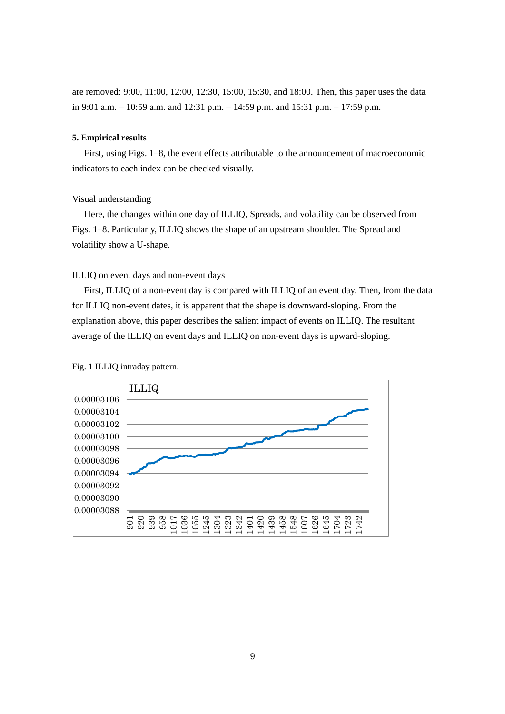are removed: 9:00, 11:00, 12:00, 12:30, 15:00, 15:30, and 18:00. Then, this paper uses the data in 9:01 a.m. – 10:59 a.m. and 12:31 p.m. – 14:59 p.m. and 15:31 p.m. – 17:59 p.m.

#### **5. Empirical results**

First, using Figs. 1–8, the event effects attributable to the announcement of macroeconomic indicators to each index can be checked visually.

# Visual understanding

Here, the changes within one day of ILLIQ, Spreads, and volatility can be observed from Figs. 1–8. Particularly, ILLIQ shows the shape of an upstream shoulder. The Spread and volatility show a U-shape.

#### ILLIQ on event days and non-event days

First, ILLIQ of a non-event day is compared with ILLIQ of an event day. Then, from the data for ILLIQ non-event dates, it is apparent that the shape is downward-sloping. From the explanation above, this paper describes the salient impact of events on ILLIQ. The resultant average of the ILLIQ on event days and ILLIQ on non-event days is upward-sloping.



Fig. 1 ILLIQ intraday pattern.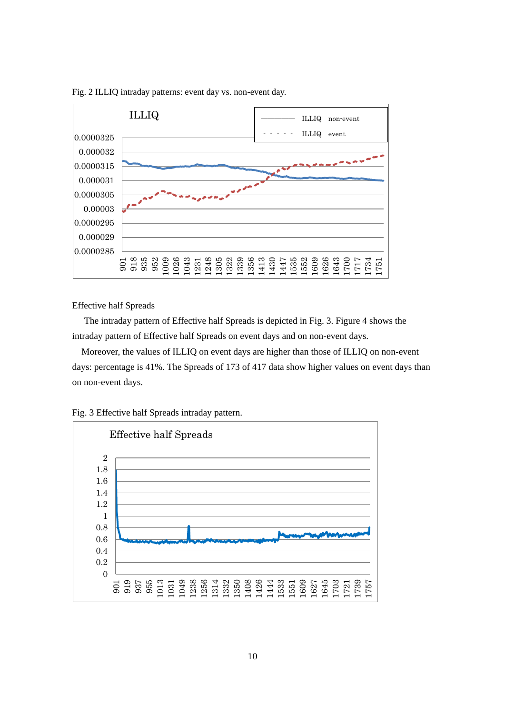

Fig. 2 ILLIQ intraday patterns: event day vs. non-event day.

Effective half Spreads

The intraday pattern of Effective half Spreads is depicted in Fig. 3. Figure 4 shows the intraday pattern of Effective half Spreads on event days and on non-event days.

Moreover, the values of ILLIQ on event days are higher than those of ILLIQ on non-event days: percentage is 41%. The Spreads of 173 of 417 data show higher values on event days than on non-event days.



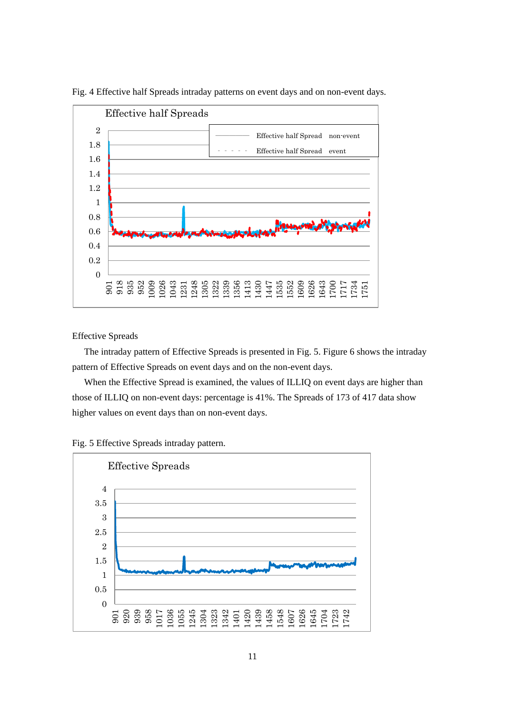

Fig. 4 Effective half Spreads intraday patterns on event days and on non-event days.

Effective Spreads

The intraday pattern of Effective Spreads is presented in Fig. 5. Figure 6 shows the intraday pattern of Effective Spreads on event days and on the non-event days.

When the Effective Spread is examined, the values of ILLIQ on event days are higher than those of ILLIQ on non-event days: percentage is 41%. The Spreads of 173 of 417 data show higher values on event days than on non-event days.



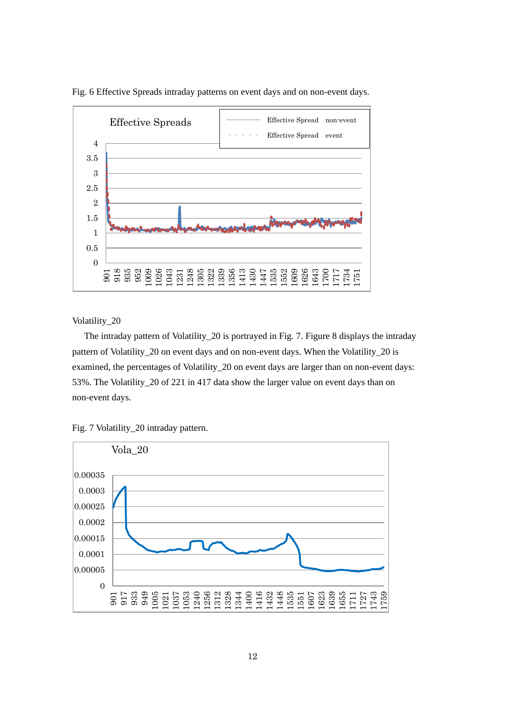

Fig. 6 Effective Spreads intraday patterns on event days and on non-event days.

Volatility\_20

The intraday pattern of Volatility\_20 is portrayed in Fig. 7. Figure 8 displays the intraday pattern of Volatility\_20 on event days and on non-event days. When the Volatility\_20 is examined, the percentages of Volatility\_20 on event days are larger than on non-event days: 53%. The Volatility\_20 of 221 in 417 data show the larger value on event days than on non-event days.



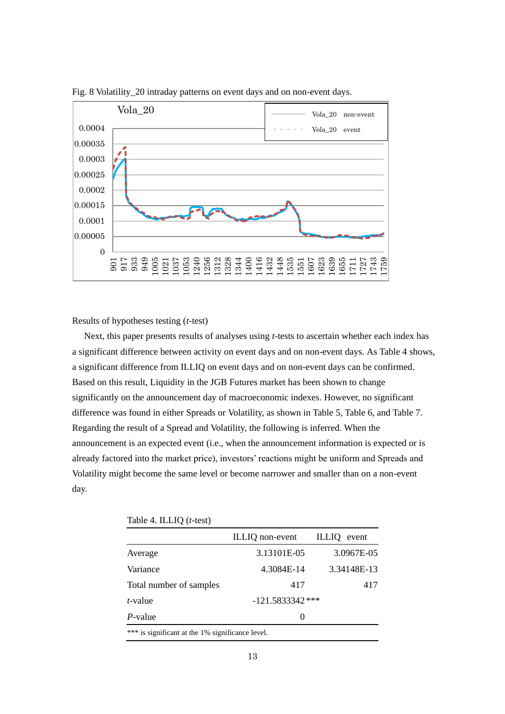

Fig. 8 Volatility\_20 intraday patterns on event days and on non-event days.

Results of hypotheses testing (*t*-test)

Next, this paper presents results of analyses using *t*-tests to ascertain whether each index has a significant difference between activity on event days and on non-event days. As Table 4 shows, a significant difference from ILLIQ on event days and on non-event days can be confirmed. Based on this result, Liquidity in the JGB Futures market has been shown to change significantly on the announcement day of macroeconomic indexes. However, no significant difference was found in either Spreads or Volatility, as shown in Table 5, Table 6, and Table 7. Regarding the result of a Spread and Volatility, the following is inferred. When the announcement is an expected event (i.e., when the announcement information is expected or is already factored into the market price), investors' reactions might be uniform and Spreads and Volatility might become the same level or become narrower and smaller than on a non-event day.

|                                                  | ILLIQ non-event    | <b>ILLIQ</b><br>event |  |
|--------------------------------------------------|--------------------|-----------------------|--|
| Average                                          | 3.13101E-05        | 3.0967E-05            |  |
| Variance                                         | 4.3084E-14         | 3.34148E-13           |  |
| Total number of samples                          | 417                | 417                   |  |
| <i>t</i> -value                                  | $-121.5833342$ *** |                       |  |
| $P$ -value                                       | $\mathbf{\Omega}$  |                       |  |
| *** is significant at the 1% significance level. |                    |                       |  |

| Table 4. ILLIQ (t-test) |  |  |
|-------------------------|--|--|
|-------------------------|--|--|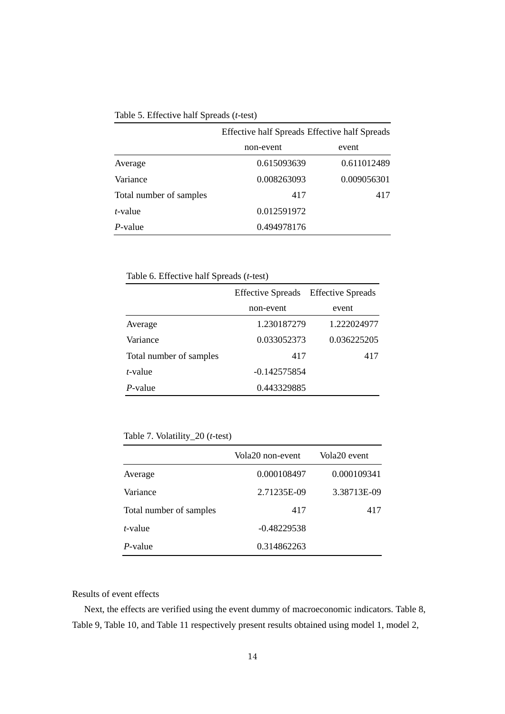|  | Table 5. Effective half Spreads (t-test) |  |  |  |
|--|------------------------------------------|--|--|--|
|--|------------------------------------------|--|--|--|

|                         | Effective half Spreads Effective half Spreads |             |  |
|-------------------------|-----------------------------------------------|-------------|--|
|                         | non-event                                     | event       |  |
| Average                 | 0.615093639                                   | 0.611012489 |  |
| Variance                | 0.008263093                                   | 0.009056301 |  |
| Total number of samples | 417                                           | 417         |  |
| <i>t</i> -value         | 0.012591972                                   |             |  |
| $P$ -value              | 0.494978176                                   |             |  |

Table 6. Effective half Spreads (*t*-test)

|                         | Effective Spreads Effective Spreads |             |
|-------------------------|-------------------------------------|-------------|
|                         | non-event                           | event       |
| Average                 | 1.230187279                         | 1.222024977 |
| Variance                | 0.033052373                         | 0.036225205 |
| Total number of samples | 417                                 | 417         |
| $t$ -value              | $-0.142575854$                      |             |
| $P$ -value              | 0.443329885                         |             |

Table 7. Volatility\_20 (*t*-test)

|                         | Vola20 non-event | Vola20 event |
|-------------------------|------------------|--------------|
| Average                 | 0.000108497      | 0.000109341  |
| Variance                | 2.71235E-09      | 3.38713E-09  |
| Total number of samples | 417              | 417          |
| $t$ -value              | $-0.48229538$    |              |
| P-value                 | 0.314862263      |              |

# Results of event effects

Next, the effects are verified using the event dummy of macroeconomic indicators. Table 8, Table 9, Table 10, and Table 11 respectively present results obtained using model 1, model 2,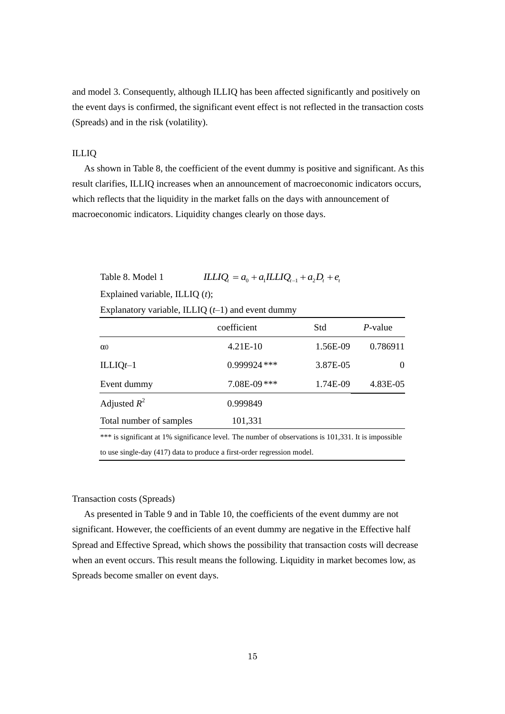and model 3. Consequently, although ILLIQ has been affected significantly and positively on the event days is confirmed, the significant event effect is not reflected in the transaction costs (Spreads) and in the risk (volatility).

# ILLIQ

As shown in Table 8, the coefficient of the event dummy is positive and significant. As this result clarifies, ILLIQ increases when an announcement of macroeconomic indicators occurs, which reflects that the liquidity in the market falls on the days with announcement of macroeconomic indicators. Liquidity changes clearly on those days.

Table 8. Model 1 Explained variable, ILLIQ (*t*); Explanatory variable, ILLIQ  $(t-1)$  and event dummy  $\frac{1}{2} \int_{c}^{c} H \left( \frac{1}{2} a_{0} + a_{1} \frac{1}{2} \int_{c}^{c} H \left( \frac{1}{2} a_{1} + a_{2} \right) \right) d\mu + e_{\mu}$ 

|                         | coefficient  | Std      | $P$ -value |
|-------------------------|--------------|----------|------------|
| $\alpha$ <sup>0</sup>   | $4.21E-10$   | 1.56E-09 | 0.786911   |
| $ILLIQt-1$              | 0.999924 *** | 3.87E-05 | $\Omega$   |
| Event dummy             | 7.08E-09***  | 1.74E-09 | 4.83E-05   |
| Adjusted $R^2$          | 0.999849     |          |            |
| Total number of samples | 101,331      |          |            |
|                         |              |          |            |

\*\*\* is significant at 1% significance level. The number of observations is 101,331. It is impossible to use single-day (417) data to produce a first-order regression model.

#### Transaction costs (Spreads)

As presented in Table 9 and in Table 10, the coefficients of the event dummy are not significant. However, the coefficients of an event dummy are negative in the Effective half Spread and Effective Spread, which shows the possibility that transaction costs will decrease when an event occurs. This result means the following. Liquidity in market becomes low, as Spreads become smaller on event days.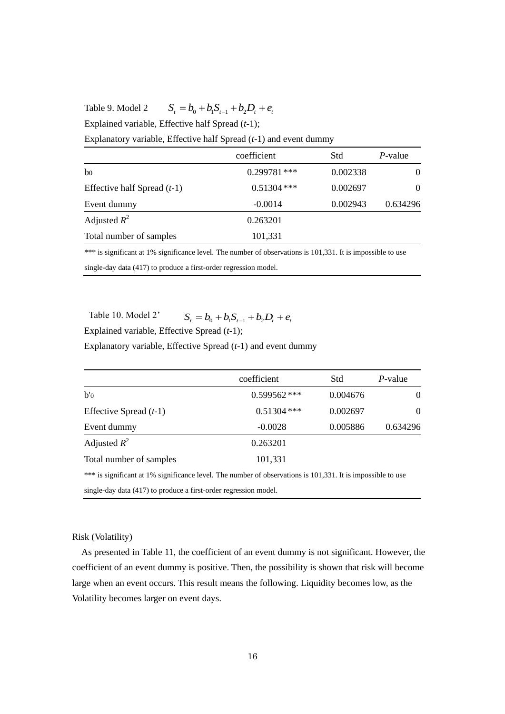Table 9. Model 2  $S_t = b_0 + b_1 S_{t-1} + b_2 D_t + e_t$ 

Explained variable, Effective half Spread (*t*-1);

Explanatory variable, Effective half Spread (*t*-1) and event dummy

|                               | coefficient    | Std      | <i>P</i> -value |
|-------------------------------|----------------|----------|-----------------|
| b <sub>0</sub>                | $0.299781$ *** | 0.002338 | $\theta$        |
| Effective half Spread $(t-1)$ | $0.51304$ ***  | 0.002697 | $\theta$        |
| Event dummy                   | $-0.0014$      | 0.002943 | 0.634296        |
| Adjusted $R^2$                | 0.263201       |          |                 |
| Total number of samples       | 101,331        |          |                 |

\*\*\* is significant at 1% significance level. The number of observations is 101,331. It is impossible to use single-day data (417) to produce a first-order regression model.

Table 10. Model 2' Explained variable, Effective Spread (*t*-1);  $S_t = b_0 + b_1 S_{t-1} + b_2 D_t + e_t$ 

Explanatory variable, Effective Spread (*t*-1) and event dummy

|                                                                                                             | coefficient    | Std      | P-value  |
|-------------------------------------------------------------------------------------------------------------|----------------|----------|----------|
| b'                                                                                                          | $0.599562$ *** | 0.004676 | $\Omega$ |
| Effective Spread $(t-1)$                                                                                    | $0.51304$ ***  | 0.002697 | $\theta$ |
| Event dummy                                                                                                 | $-0.0028$      | 0.005886 | 0.634296 |
| Adjusted $R^2$                                                                                              | 0.263201       |          |          |
| Total number of samples                                                                                     | 101,331        |          |          |
| *** is significant at 1% significance level. The number of observations is 101,331. It is impossible to use |                |          |          |

single-day data (417) to produce a first-order regression model.

#### Risk (Volatility)

As presented in Table 11, the coefficient of an event dummy is not significant. However, the coefficient of an event dummy is positive. Then, the possibility is shown that risk will become large when an event occurs. This result means the following. Liquidity becomes low, as the Volatility becomes larger on event days.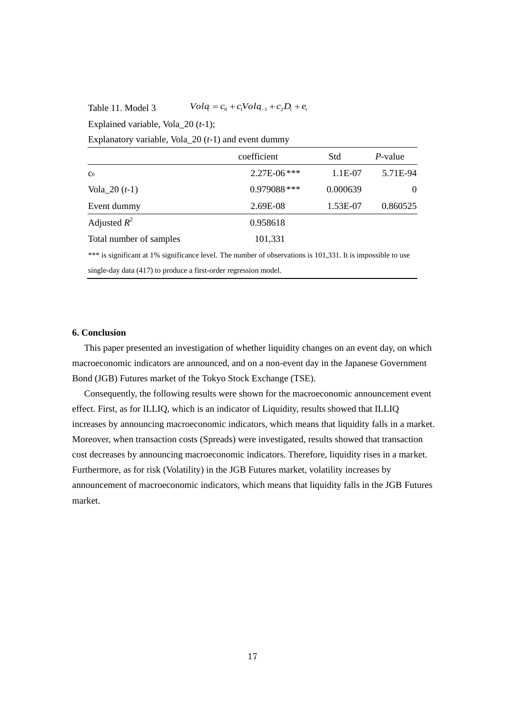Table 11. Model 3  $\text{Vol}q = c_0 + c_1 \text{Vol}q_{-1} + c_2 D_t + e_t$ 

Explained variable, Vola\_20 (*t*-1);

Explanatory variable, Vola\_20 (*t*-1) and event dummy

|                                                                                                             | coefficient   | Std      | <i>P</i> -value |
|-------------------------------------------------------------------------------------------------------------|---------------|----------|-----------------|
| Co                                                                                                          | $2.27E-06***$ | 1.1E-07  | 5.71E-94        |
| Vola $\_20(t-1)$                                                                                            | 0.979088***   | 0.000639 | $\Omega$        |
| Event dummy                                                                                                 | 2.69E-08      | 1.53E-07 | 0.860525        |
| Adjusted $R^2$                                                                                              | 0.958618      |          |                 |
| Total number of samples                                                                                     | 101,331       |          |                 |
| *** is significant at 1% significance level. The number of observations is 101,331. It is impossible to use |               |          |                 |

single-day data (417) to produce a first-order regression model.

#### **6. Conclusion**

This paper presented an investigation of whether liquidity changes on an event day, on which macroeconomic indicators are announced, and on a non-event day in the Japanese Government Bond (JGB) Futures market of the Tokyo Stock Exchange (TSE).

Consequently, the following results were shown for the macroeconomic announcement event effect. First, as for ILLIQ, which is an indicator of Liquidity, results showed that ILLIQ increases by announcing macroeconomic indicators, which means that liquidity falls in a market. Moreover, when transaction costs (Spreads) were investigated, results showed that transaction cost decreases by announcing macroeconomic indicators. Therefore, liquidity rises in a market. Furthermore, as for risk (Volatility) in the JGB Futures market, volatility increases by announcement of macroeconomic indicators, which means that liquidity falls in the JGB Futures market.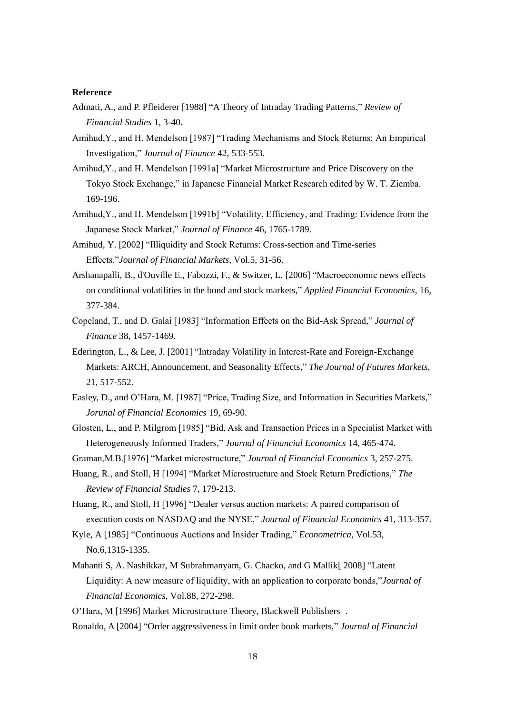#### **Reference**

- Admati, A., and P. Pfleiderer [1988] "A Theory of Intraday Trading Patterns," *Review of Financial Studies* 1, 3-40.
- Amihud,Y., and H. Mendelson [1987] "Trading Mechanisms and Stock Returns: An Empirical Investigation," *Journal of Finance* 42, 533-553.
- Amihud,Y., and H. Mendelson [1991a] "Market Microstructure and Price Discovery on the Tokyo Stock Exchange," in Japanese Financial Market Research edited by W. T. Ziemba. 169-196.
- Amihud,Y., and H. Mendelson [1991b] "Volatility, Efficiency, and Trading: Evidence from the Japanese Stock Market," *Journal of Finance* 46, 1765-1789.
- Amihud, Y. [2002] "Illiquidity and Stock Returns: Cross-section and Time-series Effects,"*Journal of Financial Markets*, Vol.5, 31-56.
- Arshanapalli, B., d'Ouville E., Fabozzi, F., & Switzer, L. [2006] "Macroeconomic news effects on conditional volatilities in the bond and stock markets," *Applied Financial Economics*, 16, 377-384.
- Copeland, T., and D. Galai [1983] "Information Effects on the Bid-Ask Spread," *Journal of Finance* 38, 1457-1469.
- Ederington, L., & Lee, J. [2001] "Intraday Volatility in Interest-Rate and Foreign-Exchange Markets: ARCH, Announcement, and Seasonality Effects," *The Journal of Futures Markets,* 21, 517-552.
- Easley, D., and O'Hara, M. [1987] "Price, Trading Size, and Information in Securities Markets," *Jorunal of Financial Economics* 19, 69-90.
- Glosten, L., and P. Milgrom [1985] "Bid, Ask and Transaction Prices in a Specialist Market with Heterogeneously Informed Traders," *Journal of Financial Economics* 14, 465-474.
- Graman,M.B.[1976] "Market microstructure," *Journal of Financial Economics* 3, 257-275.
- Huang, R., and Stoll, H [1994] "Market Microstructure and Stock Return Predictions," *The Review of Financial Studies* 7, 179-213.
- Huang, R., and Stoll, H [1996] "Dealer versus auction markets: A paired comparison of execution costs on NASDAQ and the NYSE," *Journal of Financial Economics* 41, 313-357.
- Kyle, A [1985] "Continuous Auctions and Insider Trading," *Econometrica*, Vol.53, No.6,1315-1335.
- Mahanti S, A. Nashikkar, M Subrahmanyam, G. Chacko, and G Mallik [2008] "Latent Liquidity: A new measure of liquidity, with an application to corporate bonds,"*Journal of Financial Economics,* Vol.88, 272-298.
- O'Hara, M [1996] Market Microstructure Theory, Blackwell Publishers .
- Ronaldo, A [2004] "Order aggressiveness in limit order book markets," *Journal of Financial*